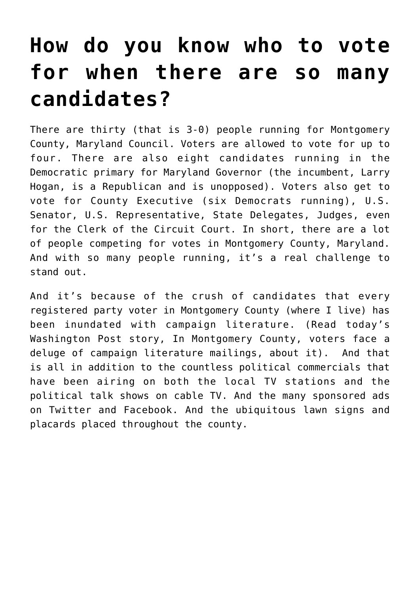## **[How do you know who to vote](https://deborahbrody.com/2018/06/how-do-you-know-who-to-vote-for-when-there-are-so-many-candidates/) [for when there are so many](https://deborahbrody.com/2018/06/how-do-you-know-who-to-vote-for-when-there-are-so-many-candidates/) [candidates?](https://deborahbrody.com/2018/06/how-do-you-know-who-to-vote-for-when-there-are-so-many-candidates/)**

There are thirty (that is 3-0) people running for Montgomery County, Maryland Council. Voters are allowed to vote for up to four. There are also eight candidates running in the Democratic primary for Maryland Governor (the incumbent, Larry Hogan, is a Republican and is unopposed). Voters also get to vote for County Executive (six Democrats running), U.S. Senator, U.S. Representative, State Delegates, Judges, even for the Clerk of the Circuit Court. In short, there are a lot of people competing for votes in Montgomery County, Maryland. And with so many people running, it's a real challenge to stand out.

And it's because of the crush of candidates that every registered party voter in Montgomery County (where I live) has been inundated with campaign literature. (Read today's Washington Post story, [In Montgomery County, voters face a](https://www.washingtonpost.com/local/md-politics/so-many-candidates-so-much-mail/2018/06/19/80549d08-732d-11e8-b4b7-308400242c2e_story.html?utm_term=.509ea3aff044) [deluge of campaign literature mailings,](https://www.washingtonpost.com/local/md-politics/so-many-candidates-so-much-mail/2018/06/19/80549d08-732d-11e8-b4b7-308400242c2e_story.html?utm_term=.509ea3aff044) about it). And that is all in addition to the countless political commercials that have been airing on both the local TV stations and the political talk shows on cable TV. And the many sponsored ads on Twitter and Facebook. And the ubiquitous lawn signs and placards placed throughout the county.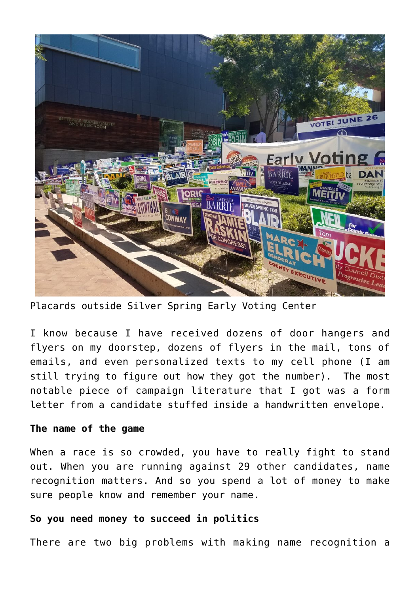

Placards outside Silver Spring Early Voting Center

I know because I have received dozens of door hangers and flyers on my doorstep, dozens of flyers in the mail, tons of emails, and even personalized texts to my cell phone (I am still trying to figure out how they got the number). The most notable piece of campaign literature that I got was a form letter from a candidate stuffed inside a handwritten envelope.

## **The name of the game**

When a race is so crowded, you have to really fight to stand out. When you are running against 29 other candidates, name recognition matters. And so you spend a lot of money to make sure people know and remember your name.

## **So you need money to succeed in politics**

There are two big problems with making name recognition a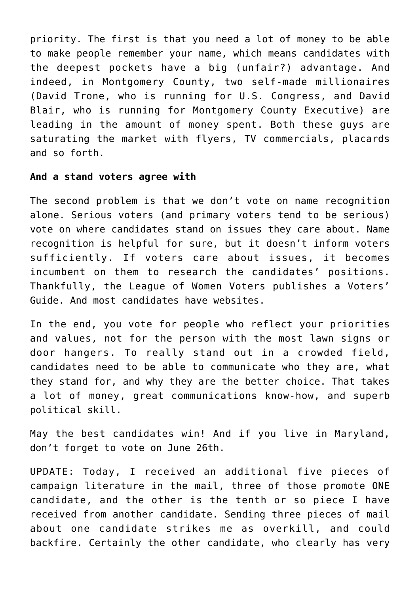priority. The first is that you need a lot of money to be able to make people remember your name, which means candidates with the deepest pockets have a big (unfair?) advantage. And indeed, in Montgomery County, two self-made millionaires (David Trone, who is running for U.S. Congress, and David Blair, who is running for Montgomery County Executive) are leading in the amount of money spent. Both these guys are saturating the market with flyers, TV commercials, placards and so forth.

## **And a stand voters agree with**

The second problem is that we don't vote on name recognition alone. Serious voters (and primary voters tend to be serious) vote on where candidates stand on issues they care about. Name recognition is helpful for sure, but it doesn't inform voters sufficiently. If voters care about issues, it becomes incumbent on them to research the candidates' positions. Thankfully, the League of Women Voters publishes a Voters' Guide. And most candidates have websites.

In the end, you vote for people who reflect your priorities and values, not for the person with the most lawn signs or door hangers. To really stand out in a crowded field, candidates need to be able to communicate who they are, what they stand for, and why they are the better choice. That takes a lot of money, great communications know-how, and superb political skill.

May the best candidates win! And if you live in Maryland, don't forget to vote on June 26th.

UPDATE: Today, I received an additional five pieces of campaign literature in the mail, three of those promote ONE candidate, and the other is the tenth or so piece I have received from another candidate. Sending three pieces of mail about one candidate strikes me as overkill, and could backfire. Certainly the other candidate, who clearly has very